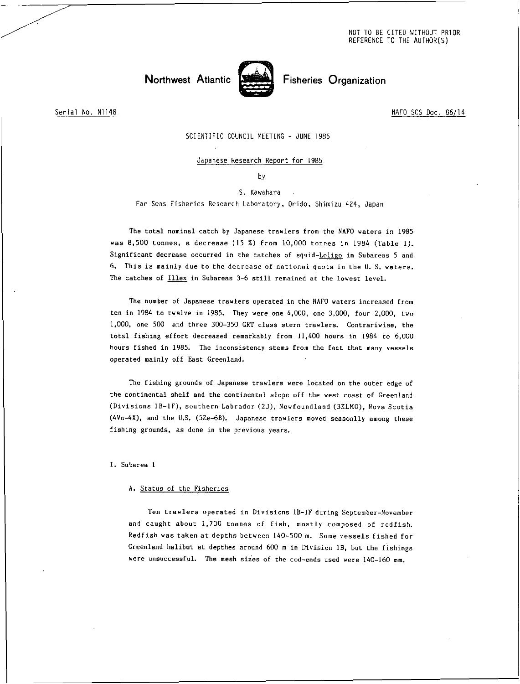NOT TO BE CITED WITHOUT PRIOR REFERENCE TO THE AUTHOR(S)



Serial No. N1148 NAFO SCS Doc. 86/14

SCIENTIFIC COUNCIL MEETING - JUNE 1986

# Japanese Research Report for 1985

by

S. Kawahara

Far Seas Fisheries Research Laboratory, Orido, Shimizu 424, Japan

The total nominal catch by Japanese trawlers from the NAFO waters in 1985 was 8,500 tonnes, a decrease (15 %) from 10,000 tonnes in 1984 (Table 1). Significant decrease occurred in the catches of squid-Loligo in Subareas 5 and 6. This is mainly due to the decrease of national quota in the U. S. waters. The catches of Illex in Subareas 3-6 still remained at the lowest level.

The number of Japanese trawlers operated in the NAFO waters increased from ten in 1984 to twelve in 1985. They were one 4,000, one 3,000, four 2,000, two 1,000, one 500 and three 300-350 GRT class stern trawlers. Contrariwise, the total fishing effort decreased remarkably from 11,400 hours in 1984 to 6,000 hours fished in 1985. The inconsistency stems from the fact that many vessels operated mainly off East Greenland.

The fishing grounds of Japanese trawlers were located on the outer edge of the continental shelf and the continental slope off the west coast of Greenland (Divisions 18-1F), southern Labrador (2J), Newfoundland (3KLMO), Nova Scotia (4Vn-4X), and the U.S. (52e-6B). Japanese trawlers moved seasonlly among these fishing grounds, as done in the previous years.

I. Subarea 1

# A. Status of the Fisheries

Ten trawlers operated in Divisions 1B-1F during September-November and caught about 1,700 tonnes of fish, mostly composed of redfish. Redfish was taken at depths between 140-500 m. Some vessels fished for Greenland halibut at depthes around 600 m in Division 1B, but the fishings were unsuccessful. The mesh sizes of the cod-ends used were 140-160 mm.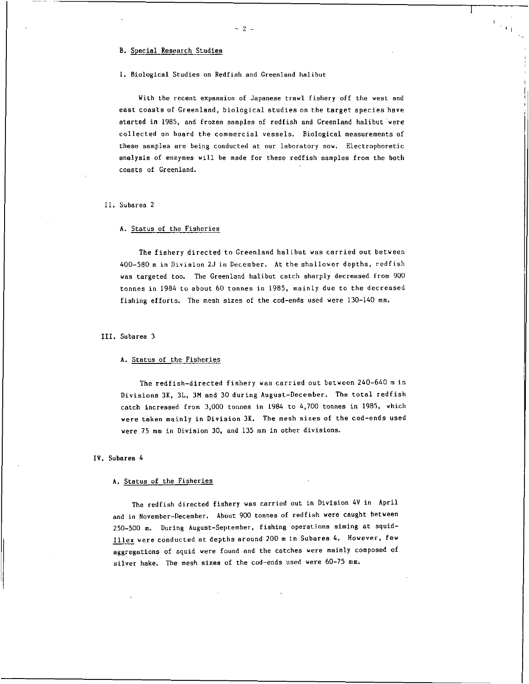B. Special Research Studies

#### 1. Biological Studies on Redfish and Greenland halibut

 $- 2 -$ 

 $\perp$ 

With the recent expansion of Japanese trawl fishery off the west and east coasts of Greenland, biological studies on the target species have started in 1985, and frozen samples of redfish and Greenland halibut were collected on board the commercial vessels. Biological measurements of these samples are being conducted at our laboratory now. Electrophoretic analysis of enzymes will be made for these redfish samples from the both coasts of Greenland.

#### II. Subarea 2

# A. Status of the Fisheries

The fishery directed to Greenland halibut was carried out between 400-580 m in Division 2J in December. At the shallower depths, redfish was targeted too. The Greenland halibut catch sharply decreased from 900 tonnes in 1984 to about 60 tonnes in 1985, mainly due to the decreased fishing efforts. The mesh sizes of the cod-ends used were 130-140 mm.

#### III. Subarea 3

# A. Status of the Fisheries

The redfish-directed fishery was carried out between 240-640 m in Divisions 3K, 3L, 3M and 30 during August-December. The total redfish catch increased from 3,000 tonnes in 1984 to 4,700 tonnes in 1985, which were taken mainly in Division 3K. The mesh sizes of the cod-ends used were 75 mm in Division 30, and 135 mm in other divisions.

#### IV. Subarea 4

#### A. Status of the Fisheries

The redfish directed fishery was carried out in Division 4V in April and in November-December. About 900 tonnes of redfish were caught between 250-500 m. During August-September, fishing operations aiming at squid-Illex were conducted at depths around 200 m in Subarea 4. However, few aggregations of squid were found and the catches were mainly composed of silver hake. The mesh sizes of the cod-ends used were 60-75 mm.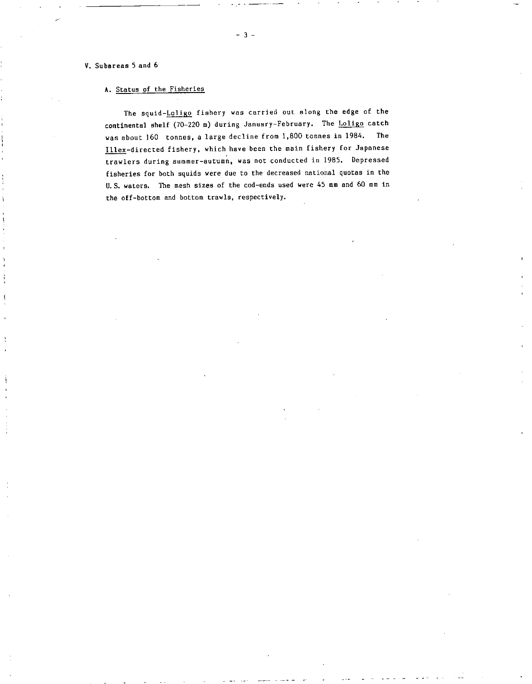# V. Subareas 5 and 6

# A. Status of the Fisheries

The squid-Loligo fishery was carried out along the edge of the continental shelf (70-220 m) during January-February. The Loligo catch was about 160 tonnes, a large decline from 1,800 tonnes in 1984. The Illex-directed fishery, which have been the main fishery for Japanese trawlers during summer-autumn, was not conducted in 1985. Depressed fisheries for both squids were due to the decreased national quotas in the U.S. waters. The mesh sizes of the cod-ends used were 45 mm and 60 mm in the off-bottom and bottom trawls, respectively.